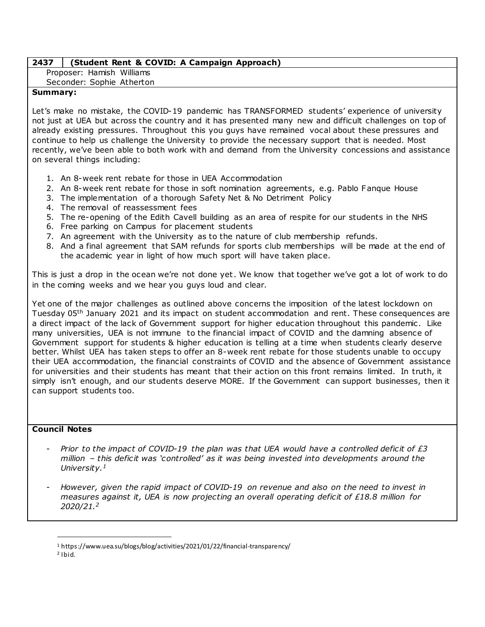## **2437 (Student Rent & COVID: A Campaign Approach)**

Proposer: Hamish Williams

Seconder: Sophie Atherton

## **Summary:**

Let's make no mistake, the COVID-19 pandemic has TRANSFORMED students' experience of university not just at UEA but across the country and it has presented many new and difficult challenges on top of already existing pressures. Throughout this you guys have remained vocal about these pressures and continue to help us challenge the University to provide the necessary support that is needed. Most recently, we've been able to both work with and demand from the University concessions and assistance on several things including:

- 1. An 8-week rent rebate for those in UEA Accommodation
- 2. An 8-week rent rebate for those in soft nomination agreements, e.g. Pablo Fanque House
- 3. The implementation of a thorough Safety Net & No Detriment Policy
- 4. The removal of reassessment fees
- 5. The re-opening of the Edith Cavell building as an area of respite for our students in the NHS
- 6. Free parking on Campus for placement students
- 7. An agreement with the University as to the nature of club membership refunds.
- 8. And a final agreement that SAM refunds for sports club memberships will be made at the end of the academic year in light of how much sport will have taken place.

This is just a drop in the ocean we're not done yet. We know that together we've got a lot of work to do in the coming weeks and we hear you guys loud and clear.

Yet one of the major challenges as outlined above concerns the imposition of the latest lockdown on Tuesday 05th January 2021 and its impact on student accommodation and rent. These consequences are a direct impact of the lack of Government support for higher education throughout this pandemic. Like many universities, UEA is not immune to the financial impact of COVID and the damning absence of Government support for students & higher education is telling at a time when students clearly deserve better. Whilst UEA has taken steps to offer an 8-week rent rebate for those students unable to occupy their UEA accommodation, the financial constraints of COVID and the absence of Government assistance for universities and their students has meant that their action on this front remains limited. In truth, it simply isn't enough, and our students deserve MORE. If the Government can support businesses, then it can support students too.

### **Council Notes**

- *Prior to the impact of COVID-19 the plan was that UEA would have a controlled deficit of £3 million – this deficit was 'controlled' as it was being invested into developments around the University.<sup>1</sup>*
- *However, given the rapid impact of COVID-19 on revenue and also on the need to invest in measures against it, UEA is now projecting an overall operating deficit of £18.8 million for 2020/21.<sup>2</sup>*

 $\overline{a}$ 

<sup>1</sup> https://www.uea.su/blogs/blog/activities/2021/01/22/financial-transparency/

 $2$  Ibid.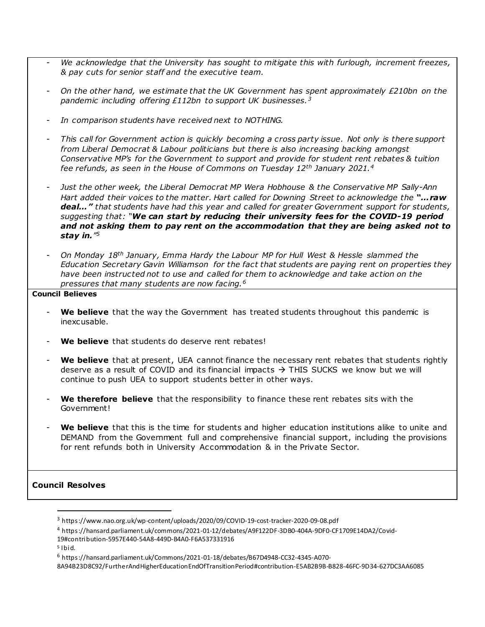- *We acknowledge that the University has sought to mitigate this with furlough, increment freezes, & pay cuts for senior staff and the executive team.*
- *On the other hand, we estimate that the UK Government has spent approximately £210bn on the pandemic including offering £112bn to support UK businesses.<sup>3</sup>*
- *In comparison students have received next to NOTHING.*
- *This call for Government action is quickly becoming a cross party issue. Not only is there support from Liberal Democrat & Labour politicians but there is also increasing backing amongst Conservative MP's for the Government to support and provide for student rent rebates & tuition fee refunds, as seen in the House of Commons on Tuesday 12th January 2021.<sup>4</sup>*
- *Just the other week, the Liberal Democrat MP Wera Hobhouse & the Conservative MP Sally-Ann Hart added their voices to the matter. Hart called for Downing Street to acknowledge the "…raw deal…" that students have had this year and called for greater Government support for students, suggesting that: "We can start by reducing their university fees for the COVID-19 period and not asking them to pay rent on the accommodation that they are being asked not to stay in." 5*
- *On Monday 18th January, Emma Hardy the Labour MP for Hull West & Hessle slammed the Education Secretary Gavin Williamson for the fact that students are paying rent on properties they have been instructed not to use and called for them to acknowledge and take action on the pressures that many students are now facing.<sup>6</sup>*

#### **Council Believes**

- We believe that the way the Government has treated students throughout this pandemic is inexcusable.
- We believe that students do deserve rent rebates!
- **We believe** that at present, UEA cannot finance the necessary rent rebates that students rightly deserve as a result of COVID and its financial impacts  $\rightarrow$  THIS SUCKS we know but we will continue to push UEA to support students better in other ways.
- **We therefore believe** that the responsibility to finance these rent rebates sits with the Government!
- We believe that this is the time for students and higher education institutions alike to unite and DEMAND from the Government full and comprehensive financial support, including the provisions for rent refunds both in University Accommodation & in the Private Sector.

# **Council Resolves**

 $\overline{a}$ 

<sup>3</sup> https://www.nao.org.uk/wp-content/uploads/2020/09/COVID-19-cost-tracker-2020-09-08.pdf

<sup>4</sup> https://hansard.parliament.uk/commons/2021-01-12/debates/A9F122DF-3DB0-404A-9DF0-CF1709E14DA2/Covid-

<sup>19#</sup>contribution-5957E440-54A8-449D-B4A0-F6A537331916

 $5$  Ibid.

<sup>6</sup> https://hansard.parliament.uk/Commons/2021-01-18/debates/B67D4948-CC32-4345-A070-

<sup>8</sup>A94B23D8C92/FurtherAndHigherEducationEndOfTransitionPeriod#contribution-E5AB2B9B-B828-46FC-9D34-627DC3AA6085